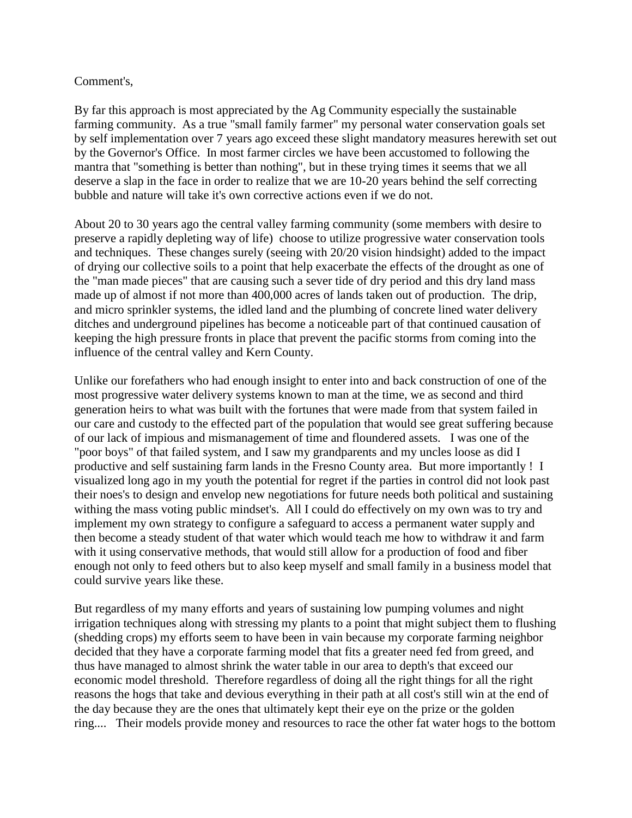## Comment's,

By far this approach is most appreciated by the Ag Community especially the sustainable farming community. As a true "small family farmer" my personal water conservation goals set by self implementation over 7 years ago exceed these slight mandatory measures herewith set out by the Governor's Office. In most farmer circles we have been accustomed to following the mantra that "something is better than nothing", but in these trying times it seems that we all deserve a slap in the face in order to realize that we are 10-20 years behind the self correcting bubble and nature will take it's own corrective actions even if we do not.

About 20 to 30 years ago the central valley farming community (some members with desire to preserve a rapidly depleting way of life) choose to utilize progressive water conservation tools and techniques. These changes surely (seeing with 20/20 vision hindsight) added to the impact of drying our collective soils to a point that help exacerbate the effects of the drought as one of the "man made pieces" that are causing such a sever tide of dry period and this dry land mass made up of almost if not more than 400,000 acres of lands taken out of production. The drip, and micro sprinkler systems, the idled land and the plumbing of concrete lined water delivery ditches and underground pipelines has become a noticeable part of that continued causation of keeping the high pressure fronts in place that prevent the pacific storms from coming into the influence of the central valley and Kern County.

Unlike our forefathers who had enough insight to enter into and back construction of one of the most progressive water delivery systems known to man at the time, we as second and third generation heirs to what was built with the fortunes that were made from that system failed in our care and custody to the effected part of the population that would see great suffering because of our lack of impious and mismanagement of time and floundered assets. I was one of the "poor boys" of that failed system, and I saw my grandparents and my uncles loose as did I productive and self sustaining farm lands in the Fresno County area. But more importantly ! I visualized long ago in my youth the potential for regret if the parties in control did not look past their noes's to design and envelop new negotiations for future needs both political and sustaining withing the mass voting public mindset's. All I could do effectively on my own was to try and implement my own strategy to configure a safeguard to access a permanent water supply and then become a steady student of that water which would teach me how to withdraw it and farm with it using conservative methods, that would still allow for a production of food and fiber enough not only to feed others but to also keep myself and small family in a business model that could survive years like these.

But regardless of my many efforts and years of sustaining low pumping volumes and night irrigation techniques along with stressing my plants to a point that might subject them to flushing (shedding crops) my efforts seem to have been in vain because my corporate farming neighbor decided that they have a corporate farming model that fits a greater need fed from greed, and thus have managed to almost shrink the water table in our area to depth's that exceed our economic model threshold. Therefore regardless of doing all the right things for all the right reasons the hogs that take and devious everything in their path at all cost's still win at the end of the day because they are the ones that ultimately kept their eye on the prize or the golden ring.... Their models provide money and resources to race the other fat water hogs to the bottom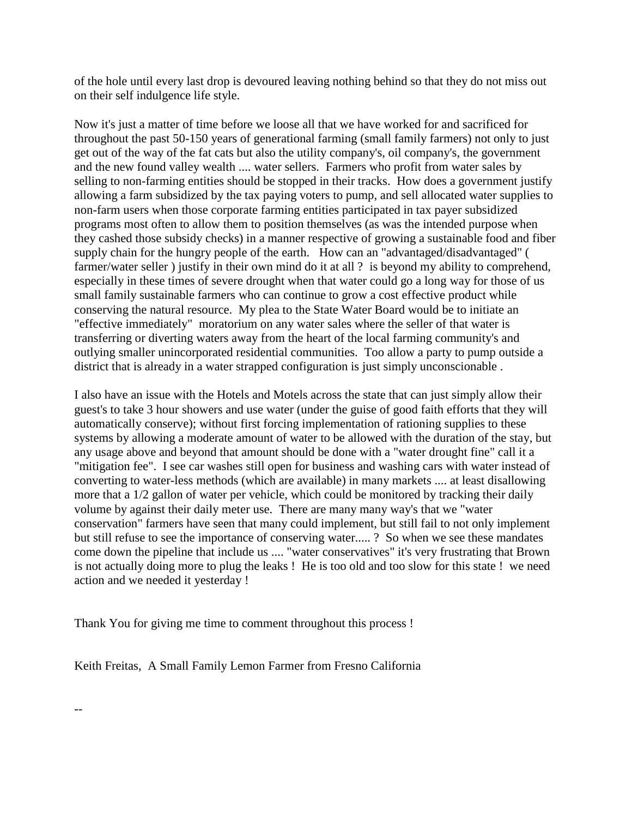of the hole until every last drop is devoured leaving nothing behind so that they do not miss out on their self indulgence life style.

Now it's just a matter of time before we loose all that we have worked for and sacrificed for throughout the past 50-150 years of generational farming (small family farmers) not only to just get out of the way of the fat cats but also the utility company's, oil company's, the government and the new found valley wealth .... water sellers. Farmers who profit from water sales by selling to non-farming entities should be stopped in their tracks. How does a government justify allowing a farm subsidized by the tax paying voters to pump, and sell allocated water supplies to non-farm users when those corporate farming entities participated in tax payer subsidized programs most often to allow them to position themselves (as was the intended purpose when they cashed those subsidy checks) in a manner respective of growing a sustainable food and fiber supply chain for the hungry people of the earth. How can an "advantaged/disadvantaged" ( farmer/water seller) justify in their own mind do it at all ? is beyond my ability to comprehend, especially in these times of severe drought when that water could go a long way for those of us small family sustainable farmers who can continue to grow a cost effective product while conserving the natural resource. My plea to the State Water Board would be to initiate an "effective immediately" moratorium on any water sales where the seller of that water is transferring or diverting waters away from the heart of the local farming community's and outlying smaller unincorporated residential communities. Too allow a party to pump outside a district that is already in a water strapped configuration is just simply unconscionable .

I also have an issue with the Hotels and Motels across the state that can just simply allow their guest's to take 3 hour showers and use water (under the guise of good faith efforts that they will automatically conserve); without first forcing implementation of rationing supplies to these systems by allowing a moderate amount of water to be allowed with the duration of the stay, but any usage above and beyond that amount should be done with a "water drought fine" call it a "mitigation fee". I see car washes still open for business and washing cars with water instead of converting to water-less methods (which are available) in many markets .... at least disallowing more that a 1/2 gallon of water per vehicle, which could be monitored by tracking their daily volume by against their daily meter use. There are many many way's that we "water conservation" farmers have seen that many could implement, but still fail to not only implement but still refuse to see the importance of conserving water..... ? So when we see these mandates come down the pipeline that include us .... "water conservatives" it's very frustrating that Brown is not actually doing more to plug the leaks ! He is too old and too slow for this state ! we need action and we needed it yesterday !

Thank You for giving me time to comment throughout this process !

Keith Freitas, A Small Family Lemon Farmer from Fresno California

--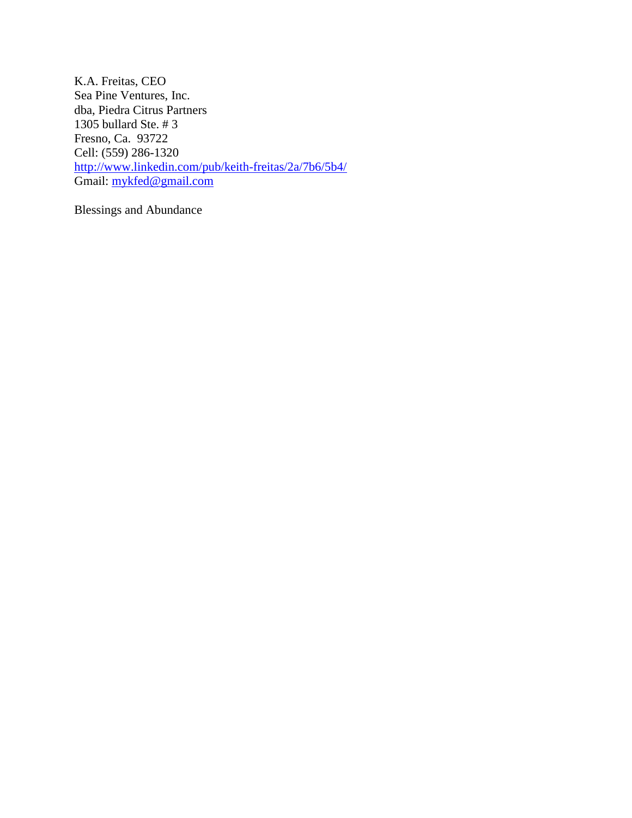K.A. Freitas, CEO Sea Pine Ventures, Inc. dba, Piedra Citrus Partners 1305 bullard Ste. # 3 Fresno, Ca. 93722 Cell: (559) 286-1320 <http://www.linkedin.com/pub/keith-freitas/2a/7b6/5b4/> Gmail: [mykfed@gmail.com](mailto:mykfed@gmail.com)

Blessings and Abundance